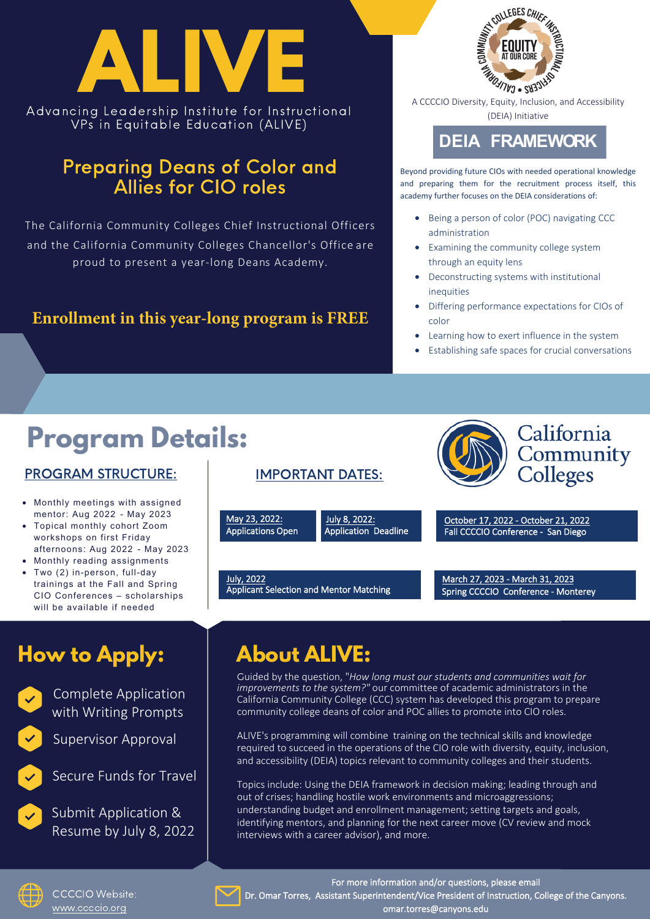

VPs in Equitable Education (ALIVE)

#### Preparing Deans of Color and Allies for CIO roles

The California Community Colleges Chief Instructional Officers and the California Community Colleges Chancellor's Office are proud to present a year-long Deans Academy.

#### **Enrollment in this year-long program is FREE**



(DEIA) Initiative

#### **DEIA FRAMEWORK**

Beyond providing future CIOs with needed operational knowledge and preparing them for the recruitment process itself, this academy further focuses on the DEIA considerations of:

- Being a person of color (POC) navigating CCC administration
- Examining the community college system through an equity lens
- Deconstructing systems with institutional inequities
- Differing performance expectations for CIOs of color
- Learning how to exert influence in the system
- Establishing safe spaces for crucial conversations

# **Program Details:**

#### PROGRAM STRUCTURE:

- Monthly meetings with assigned mentor: Aug 2022 - May 2023
- Topical monthly cohort Zoom workshops on first Friday afternoons: Aug 2022 - May 2023
- Monthly reading assignments
- Two (2) in-person, full-day trainings at the Fall and Spring CIO Conferences – scholarships will be available if needed

#### IMPORTANT DATES:

May 23, 2022: Applications Open

July 8, 2022: Application Deadline

July, 2022 Applicant Selection and Mentor Matching



October 17, 2022 - October 21, 2022 Fall CCCCIO Conference - San Die go

March 27, 2023 - March 31, 2023 Spring CCCCIO Conference - Monterey

# **How to Apply: About ALIVE:**



Complete Application with Writing Prompts

Supervisor Approval



Secure Funds for Travel

Submit Application & Resume by July 8, 2022

Guided by the question, "*How long must our students and communities wait for improvements to the system?"* our committee of academic administrators in the California Community College (CCC) system has developed this program to prepare community college deans of color and POC allies to promote into CIO roles.

ALIVE's programming will combine training on the technical skills and knowledge required to succeed in the operations of the CIO role with diversity, equity, inclusion, and accessibility (DEIA) topics relevant to community colleges and their students.

Topics include: Using the DEIA framework in decision making; leading through and out of crises; handling hostile work environments and microaggressions; understanding budget and enrollment management; setting targets and goals, identifying mentors, and planning for the next career move (CV review and mock interviews with a career advisor), and more.



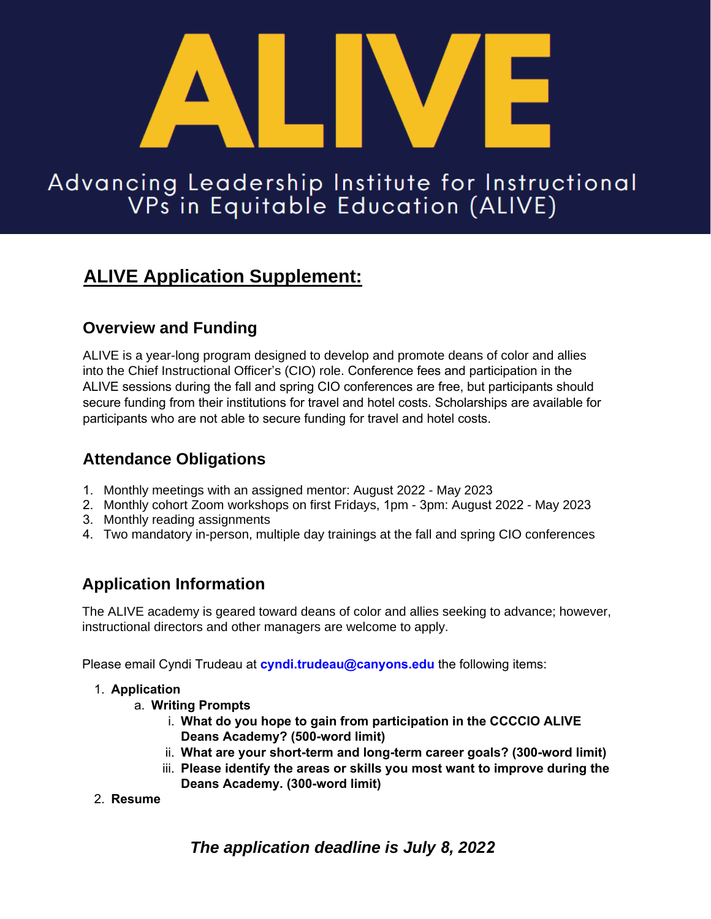

# Advancing Leadership Institute for Instructional<br>VPs in Equitable Education (ALIVE)

#### **ALIVE Application Supplement:**

#### **Overview and Funding**

ALIVE is a year-long program designed to develop and promote deans of color and allies into the Chief Instructional Officer's (CIO) role. Conference fees and participation in the ALIVE sessions during the fall and spring CIO conferences are free, but participants should secure funding from their institutions for travel and hotel costs. Scholarships are available for participants who are not able to secure funding for travel and hotel costs.

#### **Attendance Obligations**

- 1. Monthly meetings with an assigned mentor: August 2022 May 2023
- 2. Monthly cohort Zoom workshops on first Fridays, 1pm 3pm: August 2022 May 2023
- 3. Monthly reading assignments
- 4. Two mandatory in-person, multiple day trainings at the fall and spring CIO conferences

#### **Application Information**

The ALIVE academy is geared toward deans of color and allies seeking to advance; however, instructional directors and other managers are welcome to apply.

Please email Cyndi Trudeau at **cyndi.trudeau@canyons.edu** the following items:

#### 1. **Application**

- a. **Writing Prompts**
	- i. **What do you hope to gain from participation in the CCCCIO ALIVE Deans Academy? (500-word limit)**
	- ii. **What are your short-term and long-term career goals? (300-word limit)**
	- iii. **Please identify the areas or skills you most want to improve during the Deans Academy. (30[0-wor](https://docs.google.com/forms/d/1i8HjX9fLyqjhkyyN27NzKkJG60aMDnrPXPnGHplBEW8/viewform?ts=60949614&edit_requested=true)d limit)**
- 2. **Resume**

*The application deadline is July 8, 2022*